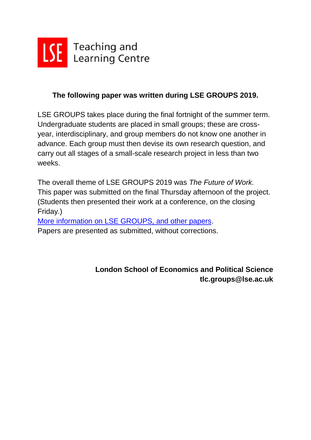

## **The following paper was written during LSE GROUPS 2019.**

LSE GROUPS takes place during the final fortnight of the summer term. Undergraduate students are placed in small groups; these are crossyear, interdisciplinary, and group members do not know one another in advance. Each group must then devise its own research question, and carry out all stages of a small-scale research project in less than two weeks.

The overall theme of LSE GROUPS 2019 was *The Future of Work.* This paper was submitted on the final Thursday afternoon of the project. (Students then presented their work at a conference, on the closing Friday.)

[More information on LSE GROUPS, and other papers.](https://info.lse.ac.uk/staff/divisions/Teaching-and-Learning-Centre/TLC-events-and-workshops/LSE-GROUPS) Papers are presented as submitted, without corrections.

> **London School of Economics and Political Science tlc.groups@lse.ac.uk**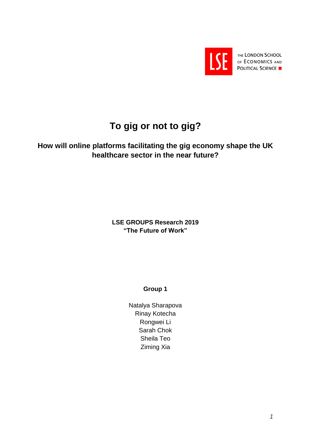

THE LONDON SCHOOL OF ECONOMICS AND **POLITICAL SCIENCE** 

# **To gig or not to gig?**

## **How will online platforms facilitating the gig economy shape the UK healthcare sector in the near future?**

**LSE GROUPS Research 2019 "The Future of Work"** 

**Group 1**

Natalya Sharapova Rinay Kotecha Rongwei Li Sarah Chok Sheila Teo Ziming Xia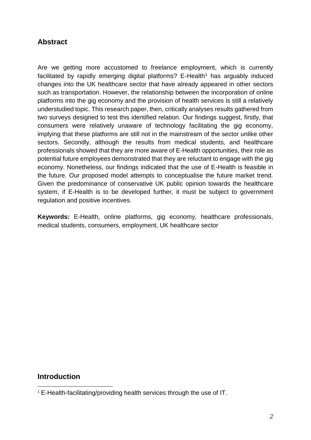## **Abstract**

Are we getting more accustomed to freelance employment, which is currently facilitated by rapidly emerging digital platforms?  $E$ -Health<sup>1</sup> has arguably induced changes into the UK healthcare sector that have already appeared in other sectors such as transportation. However, the relationship between the incorporation of online platforms into the gig economy and the provision of health services is still a relatively understudied topic. This research paper, then, critically analyses results gathered from two surveys designed to test this identified relation. Our findings suggest, firstly, that consumers were relatively unaware of technology facilitating the gig economy, implying that these platforms are still not in the mainstream of the sector unlike other sectors. Secondly, although the results from medical students, and healthcare professionals showed that they are more aware of E-Health opportunities, their role as potential future employees demonstrated that they are reluctant to engage with the gig economy. Nonetheless, our findings indicated that the use of E-Health is feasible in the future. Our proposed model attempts to conceptualise the future market trend. Given the predominance of conservative UK public opinion towards the healthcare system, if E-Health is to be developed further, it must be subject to government regulation and positive incentives.

**Keywords:** E-Health, online platforms, gig economy, healthcare professionals, medical students, consumers, employment, UK healthcare sector

### **Introduction**

-

<sup>1</sup> E-Health-facilitating/providing health services through the use of IT.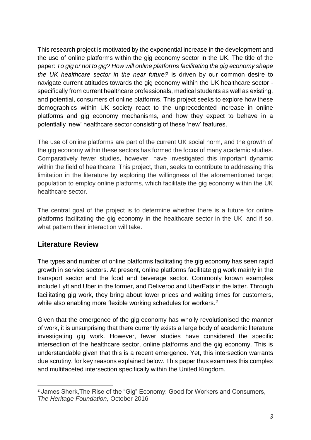This research project is motivated by the exponential increase in the development and the use of online platforms within the gig economy sector in the UK. The title of the paper: *To gig or not to gig? How will online platforms facilitating the gig economy shape the UK healthcare sector in the near future?* is driven by our common desire to navigate current attitudes towards the gig economy within the UK healthcare sector specifically from current healthcare professionals, medical students as well as existing, and potential, consumers of online platforms. This project seeks to explore how these demographics within UK society react to the unprecedented increase in online platforms and gig economy mechanisms, and how they expect to behave in a potentially 'new' healthcare sector consisting of these 'new' features.

The use of online platforms are part of the current UK social norm, and the growth of the gig economy within these sectors has formed the focus of many academic studies. Comparatively fewer studies, however, have investigated this important dynamic within the field of healthcare. This project, then, seeks to contribute to addressing this limitation in the literature by exploring the willingness of the aforementioned target population to employ online platforms, which facilitate the gig economy within the UK healthcare sector.

The central goal of the project is to determine whether there is a future for online platforms facilitating the gig economy in the healthcare sector in the UK, and if so, what pattern their interaction will take.

## **Literature Review**

The types and number of online platforms facilitating the gig economy has seen rapid growth in service sectors. At present, online platforms facilitate gig work mainly in the transport sector and the food and beverage sector. Commonly known examples include Lyft and Uber in the former, and Deliveroo and UberEats in the latter. Through facilitating gig work, they bring about lower prices and waiting times for customers, while also enabling more flexible working schedules for workers.<sup>2</sup>

Given that the emergence of the gig economy has wholly revolutionised the manner of work, it is unsurprising that there currently exists a large body of academic literature investigating gig work. However, fewer studies have considered the specific intersection of the healthcare sector, online platforms and the gig economy. This is understandable given that this is a recent emergence. Yet, this intersection warrants due scrutiny, for key reasons explained below. This paper thus examines this complex and multifaceted intersection specifically within the United Kingdom.

<sup>-</sup><sup>2</sup> James Sherk,The Rise of the "Gig" Economy: Good for Workers and Consumers, *The Heritage Foundation,* October 2016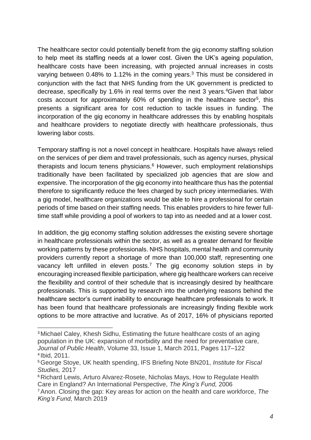The healthcare sector could potentially benefit from the gig economy staffing solution to help meet its staffing needs at a lower cost. Given the UK's ageing population, healthcare costs have been increasing, with projected annual increases in costs varying between 0.48% to 1.12% in the coming years. <sup>3</sup> This must be considered in conjunction with the fact that NHS funding from the UK government is predicted to decrease, specifically by 1.6% in real terms over the next 3 years.<sup>4</sup>Given that labor costs account for approximately 60% of spending in the healthcare sector<sup>5</sup>, this presents a significant area for cost reduction to tackle issues in funding. The incorporation of the gig economy in healthcare addresses this by enabling hospitals and healthcare providers to negotiate directly with healthcare professionals, thus lowering labor costs.

Temporary staffing is not a novel concept in healthcare. Hospitals have always relied on the services of per diem and travel professionals, such as agency nurses, physical therapists and locum tenens physicians.<sup>6</sup> However, such employment relationships traditionally have been facilitated by specialized job agencies that are slow and expensive. The incorporation of the gig economy into healthcare thus has the potential therefore to significantly reduce the fees charged by such pricey intermediaries. With a gig model, healthcare organizations would be able to hire a professional for certain periods of time based on their staffing needs. This enables providers to hire fewer fulltime staff while providing a pool of workers to tap into as needed and at a lower cost.

In addition, the gig economy staffing solution addresses the existing severe shortage in healthcare professionals within the sector, as well as a greater demand for flexible working patterns by these professionals. NHS hospitals, mental health and community providers currently report a shortage of more than 100,000 staff, representing one vacancy left unfilled in eleven posts.<sup>7</sup> The gig economy solution steps in by encouraging increased flexible participation, where gig healthcare workers can receive the flexibility and control of their schedule that is increasingly desired by healthcare professionals. This is supported by research into the underlying reasons behind the healthcare sector's current inability to encourage healthcare professionals to work. It has been found that healthcare professionals are increasingly finding flexible work options to be more attractive and lucrative. As of 2017, 16% of physicians reported

-

<sup>3</sup> Michael Caley, Khesh Sidhu, Estimating the future healthcare costs of an aging population in the UK: expansion of morbidity and the need for preventative care, *Journal of Public Health*, Volume 33, Issue 1, March 2011, Pages 117–122 4 Ibid, 2011.

<sup>5</sup>George Stoye, UK health spending, IFS Briefing Note BN201, *Institute for Fiscal Studies,* 2017

<sup>6</sup> Richard Lewis, Arturo Alvarez-Rosete, Nicholas Mays, How to Regulate Health Care in England? An International Perspective, *The King's Fund,* 2006

<sup>7</sup>Anon. Closing the gap: Key areas for action on the health and care workforce, *The King's Fund,* March 2019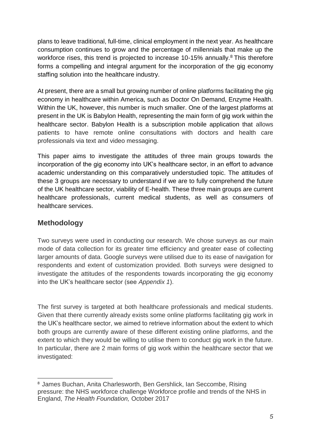plans to leave traditional, full-time, clinical employment in the next year. As healthcare consumption continues to grow and the percentage of millennials that make up the workforce rises, this trend is projected to increase 10-15% annually.<sup>8</sup> This therefore forms a compelling and integral argument for the incorporation of the gig economy staffing solution into the healthcare industry.

At present, there are a small but growing number of online platforms facilitating the gig economy in healthcare within America, such as Doctor On Demand, Enzyme Health. Within the UK, however, this number is much smaller. One of the largest platforms at present in the UK is Babylon Health, representing the main form of gig work within the healthcare sector. Babylon Health is a subscription mobile application that allows patients to have remote online consultations with doctors and health care professionals via text and video messaging.

This paper aims to investigate the attitudes of three main groups towards the incorporation of the gig economy into UK's healthcare sector, in an effort to advance academic understanding on this comparatively understudied topic. The attitudes of these 3 groups are necessary to understand if we are to fully comprehend the future of the UK healthcare sector, viability of E-health. These three main groups are current healthcare professionals, current medical students, as well as consumers of healthcare services.

## **Methodology**

-

Two surveys were used in conducting our research. We chose surveys as our main mode of data collection for its greater time efficiency and greater ease of collecting larger amounts of data. Google surveys were utilised due to its ease of navigation for respondents and extent of customization provided. Both surveys were designed to investigate the attitudes of the respondents towards incorporating the gig economy into the UK's healthcare sector (see *Appendix 1*).

The first survey is targeted at both healthcare professionals and medical students. Given that there currently already exists some online platforms facilitating gig work in the UK's healthcare sector, we aimed to retrieve information about the extent to which both groups are currently aware of these different existing online platforms, and the extent to which they would be willing to utilise them to conduct gig work in the future. In particular, there are 2 main forms of gig work within the healthcare sector that we investigated:

<sup>8</sup> James Buchan, Anita Charlesworth, Ben Gershlick, Ian Seccombe, Rising pressure: the NHS workforce challenge Workforce profile and trends of the NHS in England, *The Health Foundation,* October 2017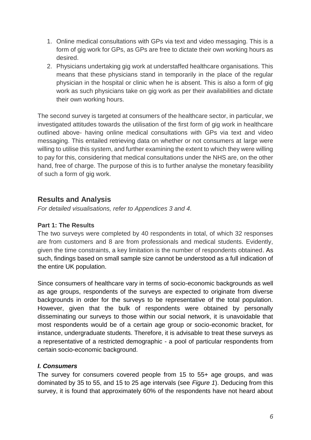- 1. Online medical consultations with GPs via text and video messaging. This is a form of gig work for GPs, as GPs are free to dictate their own working hours as desired.
- 2. Physicians undertaking gig work at understaffed healthcare organisations. This means that these physicians stand in temporarily in the place of the regular physician in the hospital or clinic when he is absent. This is also a form of gig work as such physicians take on gig work as per their availabilities and dictate their own working hours.

The second survey is targeted at consumers of the healthcare sector, in particular, we investigated attitudes towards the utilisation of the first form of gig work in healthcare outlined above- having online medical consultations with GPs via text and video messaging. This entailed retrieving data on whether or not consumers at large were willing to utilise this system, and further examining the extent to which they were willing to pay for this, considering that medical consultations under the NHS are, on the other hand, free of charge. The purpose of this is to further analyse the monetary feasibility of such a form of gig work.

## **Results and Analysis**

*For detailed visualisations, refer to Appendices 3 and 4.* 

### **Part 1: The Results**

The two surveys were completed by 40 respondents in total, of which 32 responses are from customers and 8 are from professionals and medical students. Evidently, given the time constraints, a key limitation is the number of respondents obtained. As such, findings based on small sample size cannot be understood as a full indication of the entire UK population.

Since consumers of healthcare vary in terms of socio-economic backgrounds as well as age groups, respondents of the surveys are expected to originate from diverse backgrounds in order for the surveys to be representative of the total population. However, given that the bulk of respondents were obtained by personally disseminating our surveys to those within our social network, it is unavoidable that most respondents would be of a certain age group or socio-economic bracket, for instance, undergraduate students. Therefore, it is advisable to treat these surveys as a representative of a restricted demographic - a pool of particular respondents from certain socio-economic background.

### *I. Consumers*

The survey for consumers covered people from 15 to 55+ age groups, and was dominated by 35 to 55, and 15 to 25 age intervals (see *Figure 1*). Deducing from this survey, it is found that approximately 60% of the respondents have not heard about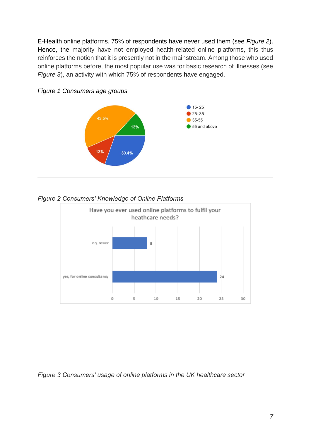E-Health online platforms, 75% of respondents have never used them (see *Figure 2*). Hence, the majority have not employed health-related online platforms, this thus reinforces the notion that it is presently not in the mainstream. Among those who used online platforms before, the most popular use was for basic research of illnesses (see *Figure 3*), an activity with which 75% of respondents have engaged.



*Figure 1 Consumers age groups*

#### *Figure 2 Consumers' Knowledge of Online Platforms*



*Figure 3 Consumers' usage of online platforms in the UK healthcare sector*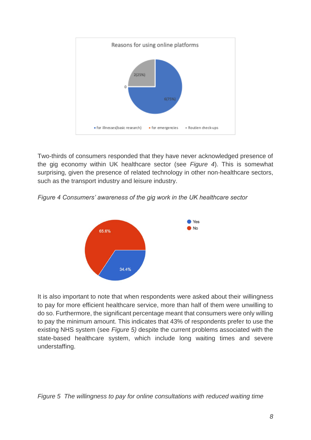

Two-thirds of consumers responded that they have never acknowledged presence of the gig economy within UK healthcare sector (see *Figure 4*). This is somewhat surprising, given the presence of related technology in other non-healthcare sectors, such as the transport industry and leisure industry.

*Figure 4 Consumers' awareness of the gig work in the UK healthcare sector*



It is also important to note that when respondents were asked about their willingness to pay for more efficient healthcare service, more than half of them were unwilling to do so. Furthermore, the significant percentage meant that consumers were only willing to pay the minimum amount. This indicates that 43% of respondents prefer to use the existing NHS system (see *Figure 5)* despite the current problems associated with the state-based healthcare system, which include long waiting times and severe understaffing.

*Figure 5 The willingness to pay for online consultations with reduced waiting time*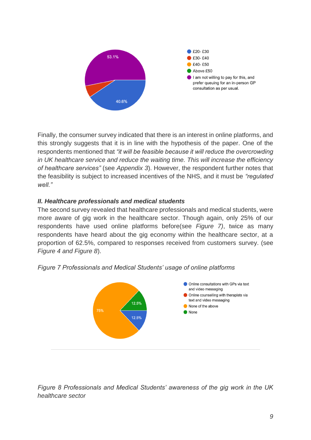

Finally, the consumer survey indicated that there is an interest in online platforms, and this strongly suggests that it is in line with the hypothesis of the paper. One of the respondents mentioned that *"it will be feasible because it will reduce the overcrowding in UK healthcare service and reduce the waiting time. This will increase the efficiency of healthcare services"* (see *Appendix 3*). However, the respondent further notes that the feasibility is subject to increased incentives of the NHS, and it must be *"regulated well."* 

### *II. Healthcare professionals and medical students*

The second survey revealed that healthcare professionals and medical students, were more aware of gig work in the healthcare sector. Though again, only 25% of our respondents have used online platforms before(see *Figure 7)*, twice as many respondents have heard about the gig economy within the healthcare sector, at a proportion of 62.5%, compared to responses received from customers survey. (see *Figure 4 and Figure 8*).



*Figure 7 Professionals and Medical Students' usage of online platforms* 

*Figure 8 Professionals and Medical Students' awareness of the gig work in the UK healthcare sector*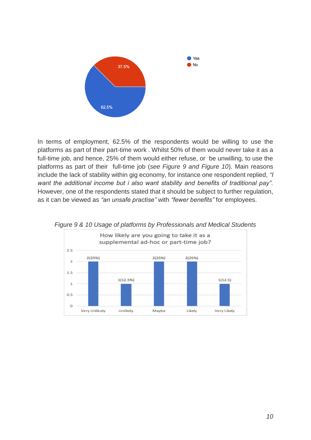

In terms of employment, 62.5% of the respondents would be willing to use the platforms as part of their part-time work . Whilst 50% of them would never take it as a full-time job, and hence, 25% of them would either refuse, or be unwilling, to use the platforms as part of their full-time job (*see Figure 9 and Figure 10*). Main reasons include the lack of stability within gig economy, for instance one respondent replied, *"I want the additional income but i also want stability and benefits of traditional pay".*  However, one of the respondents stated that it should be subject to further regulation, as it can be viewed as *"an unsafe practise"* with *"fewer benefits"* for employees.



*Figure 9 & 10 Usage of platforms by Professionals and Medical Students*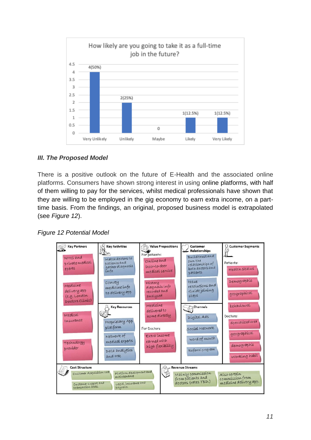

### *III. The Proposed Model*

There is a positive outlook on the future of E-Health and the associated online platforms. Consumers have shown strong interest in using online platforms, with half of them willing to pay for the services, whilst medical professionals have shown that they are willing to be employed in the gig economy to earn extra income, on a parttime basis. From the findings, an original, proposed business model is extrapolated (see *Figure 12*).



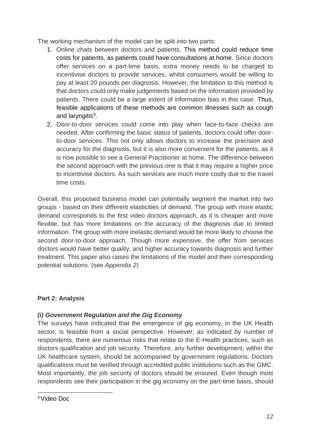The working mechanism of the model can be split into two parts:

- 1. Online chats between doctors and patients. This method could reduce time costs for patients, as patients could have consultations at home. Since doctors offer services on a part-time basis, extra money needs to be charged to incentivise doctors to provide services, whilst consumers would be willing to pay at least 20 pounds per diagnosis. However, the limitation to this method is that doctors could only make judgements based on the information provided by patients. There could be a large extent of information bias in this case. Thus, feasible applications of these methods are common illnesses such as cough and laryngitis<sup>9</sup>.
- 2. Door-to-door services could come into play when face-to-face checks are needed. After confirming the basic status of patients, doctors could offer doorto-door services. This not only allows doctors to increase the precision and accuracy for the diagnosis, but it is also more convenient for the patients, as it is now possible to see a General Practitioner at home. The difference between the second approach with the previous one is that it may require a higher price to incentivise doctors. As such services are much more costly due to the travel time costs.

Overall, this proposed business model can potentially segment the market into two groups - based on their different elasticities of demand. The group with more elastic demand corresponds to the first video doctors approach, as it is cheaper and more flexible, but has more limitations on the accuracy of the diagnosis due to limited information. The group with more inelastic demand would be more likely to choose the second door-to-door approach. Though more expensive, the offer from services doctors would have better quality, and higher accuracy towards diagnosis and further treatment. This paper also raises the limitations of the model and their corresponding potential solutions. (see *Appendix 2*)

## **Part 2: Analysis**

### *(i) Government Regulation and the Gig Economy*

The surveys have indicated that the emergence of gig economy, in the UK Health sector, is feasible from a social perspective. However, as indicated by number of respondents, there are numerous risks that relate to the E-Health practices, such as doctors qualification and job security. Therefore, any further development, within the UK healthcare system, should be accompanied by government regulations. Doctors qualifications must be verified through accredited public institutions such as the GMC. Most importantly, the job security of doctors should be ensured. Even though most respondents see their participation in the gig economy on the part-time basis, should

<sup>-</sup>9Video Doc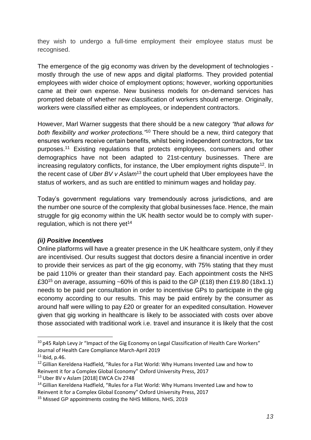they wish to undergo a full-time employment their employee status must be recognised.

The emergence of the gig economy was driven by the development of technologies mostly through the use of new apps and digital platforms. They provided potential employees with wider choice of employment options; however, working opportunities came at their own expense. New business models for on-demand services has prompted debate of whether new classification of workers should emerge. Originally, workers were classified either as employees, or independent contractors.

However, Marl Warner suggests that there should be a new category *"that allows for both flexibility and worker protections."*<sup>10</sup> There should be a new, third category that ensures workers receive certain benefits, whilst being independent contractors, for tax purposes.<sup>11</sup> Existing regulations that protects employees, consumers and other demographics have not been adapted to 21st-century businesses. There are increasing regulatory conflicts, for instance, the Uber employment rights dispute<sup>12</sup>. In the recent case of *Uber BV v Aslam*<sup>13</sup> the court upheld that Uber employees have the status of workers, and as such are entitled to minimum wages and holiday pay.

Today's government regulations vary tremendously across jurisdictions, and are the number one source of the complexity that global businesses face. Hence, the main struggle for gig economy within the UK health sector would be to comply with superregulation, which is not there yet<sup>14</sup>

#### *(ii) Positive Incentives*

Online platforms will have a greater presence in the UK healthcare system, only if they are incentivised. Our results suggest that doctors desire a financial incentive in order to provide their services as part of the gig economy, with 75% stating that they must be paid 110% or greater than their standard pay. Each appointment costs the NHS £30<sup>15</sup> on average, assuming ~60% of this is paid to the GP (£18) then £19.80 (18x1.1) needs to be paid per consultation in order to incentivise GPs to participate in the gig economy according to our results. This may be paid entirely by the consumer as around half were willing to pay £20 or greater for an expedited consultation. However given that gig working in healthcare is likely to be associated with costs over above those associated with traditional work i.e. travel and insurance it is likely that the cost

-

 $10$  p45 Ralph Levy Jr "Impact of the Gig Economy on Legal Classification of Health Care Workers" Journal of Health Care Compliance March-April 2019

 $11$  Ibid, p.46.

 $12$  Gillian Kereldena Hadfield, "Rules for a Flat World: Why Humans Invented Law and how to Reinvent it for a Complex Global Economy" Oxford University Press, 2017

<sup>&</sup>lt;sup>13</sup> Uber BV v Aslam [2018] EWCA Civ 2748

<sup>&</sup>lt;sup>14</sup> Gillian Kereldena Hadfield, "Rules for a Flat World: Why Humans Invented Law and how to Reinvent it for a Complex Global Economy" Oxford University Press, 2017

<sup>&</sup>lt;sup>15</sup> Missed GP appointments costing the NHS Millions, NHS, 2019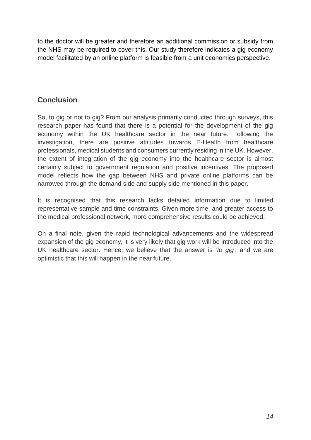to the doctor will be greater and therefore an additional commission or subsidy from the NHS may be required to cover this. Our study therefore indicates a gig economy model facilitated by an online platform is feasible from a unit economics perspective.

## **Conclusion**

So, to gig or not to gig? From our analysis primarily conducted through surveys, this research paper has found that there is a potential for the development of the gig economy within the UK healthcare sector in the near future. Following the investigation, there are positive attitudes towards E-Health from healthcare professionals, medical students and consumers currently residing in the UK. However, the extent of integration of the gig economy into the healthcare sector is almost certainly subject to government regulation and positive incentives. The proposed model reflects how the gap between NHS and private online platforms can be narrowed through the demand side and supply side mentioned in this paper.

It is recognised that this research lacks detailed information due to limited representative sample and time constraints. Given more time, and greater access to the medical professional network, more comprehensive results could be achieved.

On a final note, given the rapid technological advancements and the widespread expansion of the gig economy, it is very likely that gig work will be introduced into the UK healthcare sector. Hence, we believe that the answer is *'to gig'*, and we are optimistic that this will happen in the near future.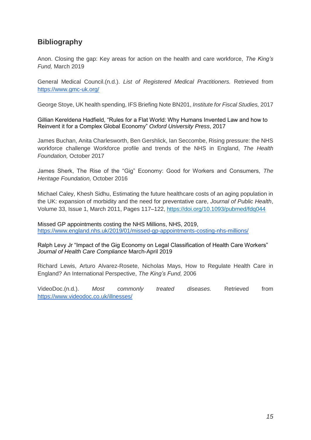## **Bibliography**

Anon. Closing the gap: Key areas for action on the health and care workforce, *The King's Fund,* March 2019

General Medical Council.(n.d.). *List of Registered Medical Practitioners.* Retrieved from <https://www.gmc-uk.org/>

George Stoye, UK health spending, IFS Briefing Note BN201, *Institute for Fiscal Studies,* 2017

Gillian Kereldena Hadfield, "Rules for a Flat World: Why Humans Invented Law and how to Reinvent it for a Complex Global Economy" *Oxford University Press*, 2017

James Buchan, Anita Charlesworth, Ben Gershlick, Ian Seccombe, Rising pressure: the NHS workforce challenge Workforce profile and trends of the NHS in England, *The Health Foundation,* October 2017

James Sherk, The Rise of the "Gig" Economy: Good for Workers and Consumers, *The Heritage Foundation,* October 2016

Michael Caley, Khesh Sidhu, Estimating the future healthcare costs of an aging population in the UK: expansion of morbidity and the need for preventative care, *Journal of Public Health*, Volume 33, Issue 1, March 2011, Pages 117–122,<https://doi.org/10.1093/pubmed/fdq044>

Missed GP appointments costing the NHS Millions, NHS, 2019, <https://www.england.nhs.uk/2019/01/missed-gp-appointments-costing-nhs-millions/>

Ralph Levy Jr "Impact of the Gig Economy on Legal Classification of Health Care Workers" *Journal of Health Care Compliance* March-April 2019

Richard Lewis, Arturo Alvarez-Rosete, Nicholas Mays, How to Regulate Health Care in England? An International Perspective, *The King's Fund,* 2006

VideoDoc.(n.d.). *Most commonly treated diseases.* Retrieved from <https://www.videodoc.co.uk/illnesses/>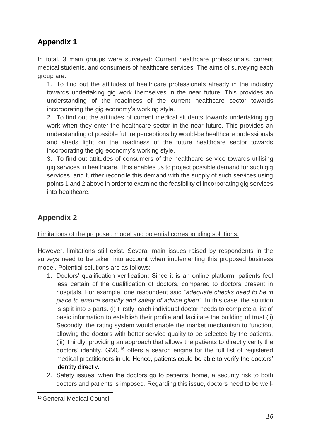## **Appendix 1**

In total, 3 main groups were surveyed: Current healthcare professionals, current medical students, and consumers of healthcare services. The aims of surveying each group are:

1. To find out the attitudes of healthcare professionals already in the industry towards undertaking gig work themselves in the near future. This provides an understanding of the readiness of the current healthcare sector towards incorporating the gig economy's working style.

2. To find out the attitudes of current medical students towards undertaking gig work when they enter the healthcare sector in the near future. This provides an understanding of possible future perceptions by would-be healthcare professionals and sheds light on the readiness of the future healthcare sector towards incorporating the gig economy's working style.

3. To find out attitudes of consumers of the healthcare service towards utilising gig services in healthcare. This enables us to project possible demand for such gig services, and further reconcile this demand with the supply of such services using points 1 and 2 above in order to examine the feasibility of incorporating gig services into healthcare.

# **Appendix 2**

Limitations of the proposed model and potential corresponding solutions.

However, limitations still exist. Several main issues raised by respondents in the surveys need to be taken into account when implementing this proposed business model. Potential solutions are as follows:

- 1. Doctors' qualification verification: Since it is an online platform, patients feel less certain of the qualification of doctors, compared to doctors present in hospitals. For example, one respondent said *"adequate checks need to be in place to ensure security and safety of advice given".* In this case, the solution is split into 3 parts. (i) Firstly, each individual doctor needs to complete a list of basic information to establish their profile and facilitate the building of trust (ii) Secondly, the rating system would enable the market mechanism to function, allowing the doctors with better service quality to be selected by the patients. (iii) Thirdly, providing an approach that allows the patients to directly verify the doctors' identity. GMC<sup>16</sup> offers a search engine for the full list of registered medical practitioners in uk. Hence, patients could be able to verify the doctors' identity directly.
- 2. Safety issues: when the doctors go to patients' home, a security risk to both doctors and patients is imposed. Regarding this issue, doctors need to be well-

<sup>-</sup>16General Medical Council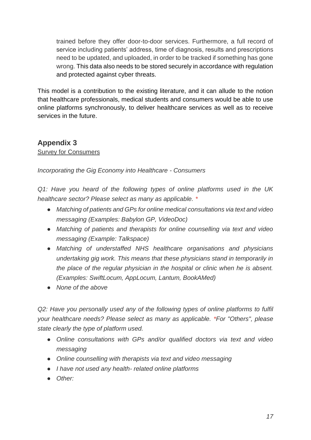trained before they offer door-to-door services. Furthermore, a full record of service including patients' address, time of diagnosis, results and prescriptions need to be updated, and uploaded, in order to be tracked if something has gone wrong. This data also needs to be stored securely in accordance with regulation and protected against cyber threats.

This model is a contribution to the existing literature, and it can allude to the notion that healthcare professionals, medical students and consumers would be able to use online platforms synchronously, to deliver healthcare services as well as to receive services in the future.

# **Appendix 3**

Survey for Consumers

*Incorporating the Gig Economy into Healthcare - Consumers*

*Q1: Have you heard of the following types of online platforms used in the UK healthcare sector? Please select as many as applicable. \**

- *Matching of patients and GPs for online medical consultations via text and video messaging (Examples: Babylon GP, VideoDoc)*
- *Matching of patients and therapists for online counselling via text and video messaging (Example: Talkspace)*
- *Matching of understaffed NHS healthcare organisations and physicians undertaking gig work. This means that these physicians stand in temporarily in the place of the regular physician in the hospital or clinic when he is absent. (Examples: SwiftLocum, AppLocum, Lantum, BookAMed)*
- *None of the above*

*Q2: Have you personally used any of the following types of online platforms to fulfil your healthcare needs? Please select as many as applicable. \*For "Others", please state clearly the type of platform used.* 

- *Online consultations with GPs and/or qualified doctors via text and video messaging*
- *Online counselling with therapists via text and video messaging*
- *I have not used any health- related online platforms*
- *Other:*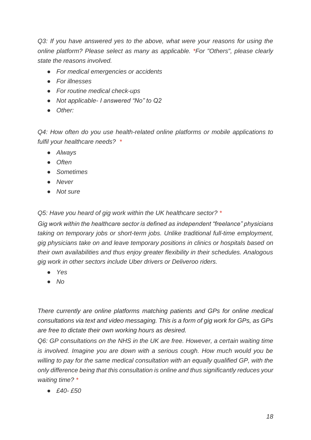*Q3: If you have answered yes to the above, what were your reasons for using the online platform? Please select as many as applicable. \*For "Others", please clearly state the reasons involved.* 

- *For medical emergencies or accidents*
- *For illnesses*
- *For routine medical check-ups*
- *Not applicable- I answered "No" to Q2*
- *Other:*

*Q4: How often do you use health-related online platforms or mobile applications to fulfil your healthcare needs? \**

- *Always*
- *Often*
- *Sometimes*
- *Never*
- *Not sure*

*Q5: Have you heard of gig work within the UK healthcare sector? \**

*Gig work within the healthcare sector is defined as independent "freelance" physicians taking on temporary jobs or short-term jobs. Unlike traditional full-time employment, gig physicians take on and leave temporary positions in clinics or hospitals based on their own availabilities and thus enjoy greater flexibility in their schedules. Analogous gig work in other sectors include Uber drivers or Deliveroo riders.*

- *Yes*
- *No*

*There currently are online platforms matching patients and GPs for online medical consultations via text and video messaging. This is a form of gig work for GPs, as GPs are free to dictate their own working hours as desired.*

*Q6: GP consultations on the NHS in the UK are free. However, a certain waiting time is involved. Imagine you are down with a serious cough. How much would you be willing to pay for the same medical consultation with an equally qualified GP, with the only difference being that this consultation is online and thus significantly reduces your waiting time? \**

● *£40- £50*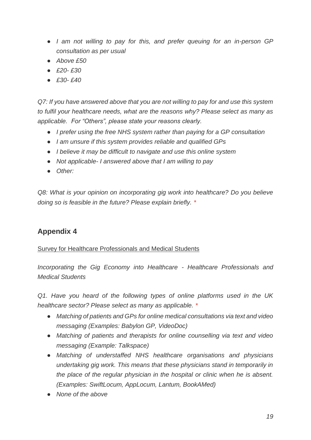- *I am not willing to pay for this, and prefer queuing for an in-person GP consultation as per usual*
- *Above £50*
- *£20- £30*
- *£30- £40*

*Q7: If you have answered above that you are not willing to pay for and use this system to fulfil your healthcare needs, what are the reasons why? Please select as many as applicable. For "Others", please state your reasons clearly.*

- *I prefer using the free NHS system rather than paying for a GP consultation*
- *I am unsure if this system provides reliable and qualified GPs*
- *I believe it may be difficult to navigate and use this online system*
- *Not applicable- I answered above that I am willing to pay*
- *Other:*

*Q8: What is your opinion on incorporating gig work into healthcare? Do you believe doing so is feasible in the future? Please explain briefly. \**

## **Appendix 4**

#### Survey for Healthcare Professionals and Medical Students

*Incorporating the Gig Economy into Healthcare - Healthcare Professionals and Medical Students* 

*Q1. Have you heard of the following types of online platforms used in the UK healthcare sector? Please select as many as applicable. \**

- *Matching of patients and GPs for online medical consultations via text and video messaging (Examples: Babylon GP, VideoDoc)*
- *Matching of patients and therapists for online counselling via text and video messaging (Example: Talkspace)*
- *Matching of understaffed NHS healthcare organisations and physicians undertaking gig work. This means that these physicians stand in temporarily in the place of the regular physician in the hospital or clinic when he is absent. (Examples: SwiftLocum, AppLocum, Lantum, BookAMed)*
- *None of the above*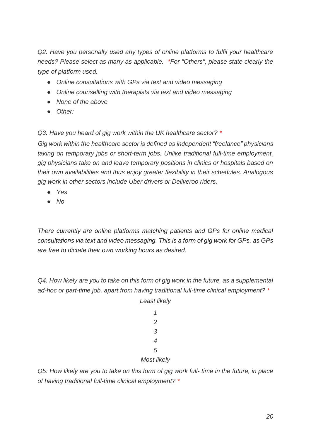*Q2. Have you personally used any types of online platforms to fulfil your healthcare needs? Please select as many as applicable. \*For "Others", please state clearly the type of platform used.*

- *Online consultations with GPs via text and video messaging*
- *Online counselling with therapists via text and video messaging*
- *None of the above*
- *Other:*

*Q3. Have you heard of gig work within the UK healthcare sector? \**

*Gig work within the healthcare sector is defined as independent "freelance" physicians taking on temporary jobs or short-term jobs. Unlike traditional full-time employment, gig physicians take on and leave temporary positions in clinics or hospitals based on their own availabilities and thus enjoy greater flexibility in their schedules. Analogous gig work in other sectors include Uber drivers or Deliveroo riders.*

- *Yes*
- *No*

*There currently are online platforms matching patients and GPs for online medical consultations via text and video messaging. This is a form of gig work for GPs, as GPs are free to dictate their own working hours as desired.*

*Q4. How likely are you to take on this form of gig work in the future, as a supplemental ad-hoc or part-time job, apart from having traditional full-time clinical employment? \**

#### *5*

#### *Most likely*

*Q5: How likely are you to take on this form of gig work full- time in the future, in place of having traditional full-time clinical employment? \**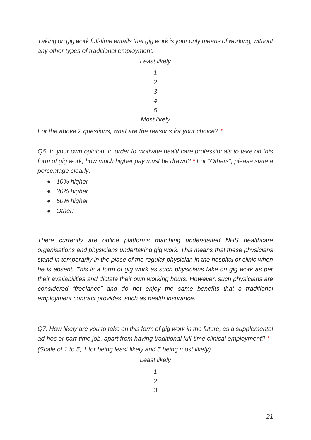*Taking on gig work full-time entails that gig work is your only means of working, without any other types of traditional employment.*



*For the above 2 questions, what are the reasons for your choice? \**

*Q6. In your own opinion, in order to motivate healthcare professionals to take on this form of gig work, how much higher pay must be drawn? \* For "Others", please state a percentage clearly.*

- *10% higher*
- *30% higher*
- *50% higher*
- *Other:*

*There currently are online platforms matching understaffed NHS healthcare organisations and physicians undertaking gig work. This means that these physicians stand in temporarily in the place of the regular physician in the hospital or clinic when he is absent. This is a form of gig work as such physicians take on gig work as per their availabilities and dictate their own working hours. However, such physicians are considered "freelance" and do not enjoy the same benefits that a traditional employment contract provides, such as health insurance.*

*Q7. How likely are you to take on this form of gig work in the future, as a supplemental ad-hoc or part-time job, apart from having traditional full-time clinical employment? \* (Scale of 1 to 5, 1 for being least likely and 5 being most likely)*

*Least likely*